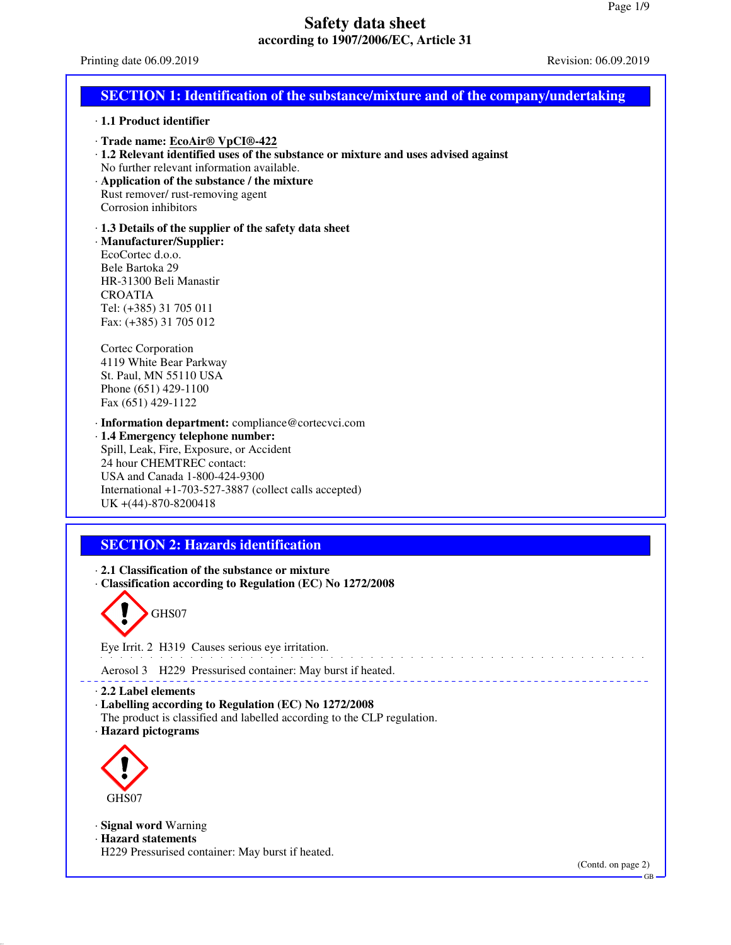Printing date 06.09.2019 Revision: 06.09.2019

| <b>SECTION 1: Identification of the substance/mixture and of the company/undertaking</b>                                                                                                                                                                                                    |
|---------------------------------------------------------------------------------------------------------------------------------------------------------------------------------------------------------------------------------------------------------------------------------------------|
| · 1.1 Product identifier                                                                                                                                                                                                                                                                    |
| · Trade name: EcoAir <sup>®</sup> VpCI®-422<br>· 1.2 Relevant identified uses of the substance or mixture and uses advised against<br>No further relevant information available.<br>Application of the substance / the mixture<br>Rust remover/ rust-removing agent<br>Corrosion inhibitors |
| 1.3 Details of the supplier of the safety data sheet<br>· Manufacturer/Supplier:<br>EcoCortec d.o.o.<br>Bele Bartoka 29<br>HR-31300 Beli Manastir<br><b>CROATIA</b><br>Tel: (+385) 31 705 011<br>Fax: (+385) 31 705 012                                                                     |
| Cortec Corporation<br>4119 White Bear Parkway<br>St. Paul, MN 55110 USA<br>Phone (651) 429-1100<br>Fax (651) 429-1122                                                                                                                                                                       |
| · Information department: compliance@cortecvci.com<br>· 1.4 Emergency telephone number:<br>Spill, Leak, Fire, Exposure, or Accident<br>24 hour CHEMTREC contact:<br>USA and Canada 1-800-424-9300<br>International +1-703-527-3887 (collect calls accepted)<br>UK +(44)-870-8200418         |
|                                                                                                                                                                                                                                                                                             |
| <b>SECTION 2: Hazards identification</b><br>2.1 Classification of the substance or mixture<br>· Classification according to Regulation (EC) No 1272/2008<br>GHS07<br>Eye Irrit. 2 H319 Causes serious eye irritation.                                                                       |
|                                                                                                                                                                                                                                                                                             |
| Aerosol 3 H229 Pressurised container: May burst if heated.<br>$\cdot$ 2.2 Label elements<br>· Labelling according to Regulation (EC) No 1272/2008<br>The product is classified and labelled according to the CLP regulation.<br>· Hazard pictograms                                         |
| GHS07                                                                                                                                                                                                                                                                                       |

· **Signal word** Warning · **Hazard statements**

H229 Pressurised container: May burst if heated.

(Contd. on page 2)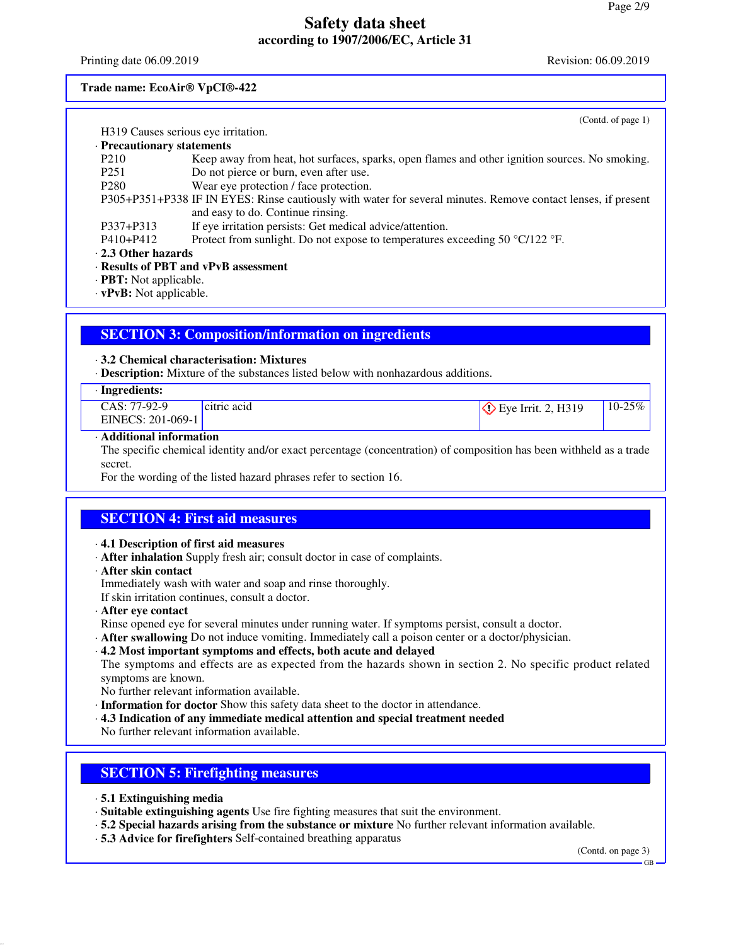Printing date 06.09.2019 Revision: 06.09.2019

### **Trade name: EcoAir® VpCI®-422**

|                                                                                                                                                                                                                                                                                                                                    | (Contd. of page $1$ )                                                                                         |
|------------------------------------------------------------------------------------------------------------------------------------------------------------------------------------------------------------------------------------------------------------------------------------------------------------------------------------|---------------------------------------------------------------------------------------------------------------|
| H319 Causes serious eye irritation.                                                                                                                                                                                                                                                                                                |                                                                                                               |
| · Precautionary statements                                                                                                                                                                                                                                                                                                         |                                                                                                               |
| P <sub>210</sub>                                                                                                                                                                                                                                                                                                                   | Keep away from heat, hot surfaces, sparks, open flames and other ignition sources. No smoking.                |
| P <sub>251</sub>                                                                                                                                                                                                                                                                                                                   | Do not pierce or burn, even after use.                                                                        |
| P <sub>280</sub>                                                                                                                                                                                                                                                                                                                   | Wear eye protection / face protection.                                                                        |
|                                                                                                                                                                                                                                                                                                                                    | P305+P351+P338 IF IN EYES: Rinse cautiously with water for several minutes. Remove contact lenses, if present |
|                                                                                                                                                                                                                                                                                                                                    | and easy to do. Continue rinsing.                                                                             |
| P337+P313                                                                                                                                                                                                                                                                                                                          | If eye irritation persists: Get medical advice/attention.                                                     |
| $P410 + P412$                                                                                                                                                                                                                                                                                                                      | Protect from sunlight. Do not expose to temperatures exceeding 50 $\degree$ C/122 $\degree$ F.                |
| $\cdot$ 2.3 Other hazards                                                                                                                                                                                                                                                                                                          |                                                                                                               |
|                                                                                                                                                                                                                                                                                                                                    | · Results of PBT and vPvB assessment                                                                          |
| $\cdot$ <b>PBT:</b> Not applicable.                                                                                                                                                                                                                                                                                                |                                                                                                               |
| $\mathbf{m}$ $\mathbf{m}$ $\mathbf{v}$ $\mathbf{v}$ $\mathbf{v}$ $\mathbf{v}$ $\mathbf{v}$ $\mathbf{v}$ $\mathbf{v}$ $\mathbf{v}$ $\mathbf{v}$ $\mathbf{v}$ $\mathbf{v}$ $\mathbf{v}$ $\mathbf{v}$ $\mathbf{v}$ $\mathbf{v}$ $\mathbf{v}$ $\mathbf{v}$ $\mathbf{v}$ $\mathbf{v}$ $\mathbf{v}$ $\mathbf{v}$ $\mathbf{v}$ $\mathbf{$ |                                                                                                               |

· **vPvB:** Not applicable.

# **SECTION 3: Composition/information on ingredients**

#### · **3.2 Chemical characterisation: Mixtures**

· **Description:** Mixture of the substances listed below with nonhazardous additions.

#### · **Ingredients:**

| __                                         |                                       |                          |                     |
|--------------------------------------------|---------------------------------------|--------------------------|---------------------|
| $7-92-9$<br>$\mathcal{A}S$ : $\mathcal{T}$ | c <sub>1</sub> tric ac <sub>1</sub> d | H319<br>Eve Irrit<br>៸៸៶ | $-25\%$<br>$10 - 2$ |
| EINECS: 201-069-1                          |                                       |                          |                     |

#### · **Additional information**

The specific chemical identity and/or exact percentage (concentration) of composition has been withheld as a trade secret.

For the wording of the listed hazard phrases refer to section 16.

### **SECTION 4: First aid measures**

#### · **4.1 Description of first aid measures**

- · **After inhalation** Supply fresh air; consult doctor in case of complaints.
- · **After skin contact**
- Immediately wash with water and soap and rinse thoroughly.

If skin irritation continues, consult a doctor.

- · **After eye contact**
- Rinse opened eye for several minutes under running water. If symptoms persist, consult a doctor.
- · **After swallowing** Do not induce vomiting. Immediately call a poison center or a doctor/physician.
- · **4.2 Most important symptoms and effects, both acute and delayed** The symptoms and effects are as expected from the hazards shown in section 2. No specific product related symptoms are known.
- No further relevant information available.
- · **Information for doctor** Show this safety data sheet to the doctor in attendance.
- · **4.3 Indication of any immediate medical attention and special treatment needed** No further relevant information available.

### **SECTION 5: Firefighting measures**

- · **5.1 Extinguishing media**
- · **Suitable extinguishing agents** Use fire fighting measures that suit the environment.
- · **5.2 Special hazards arising from the substance or mixture** No further relevant information available.
- · **5.3 Advice for firefighters** Self-contained breathing apparatus

(Contd. on page 3)

GB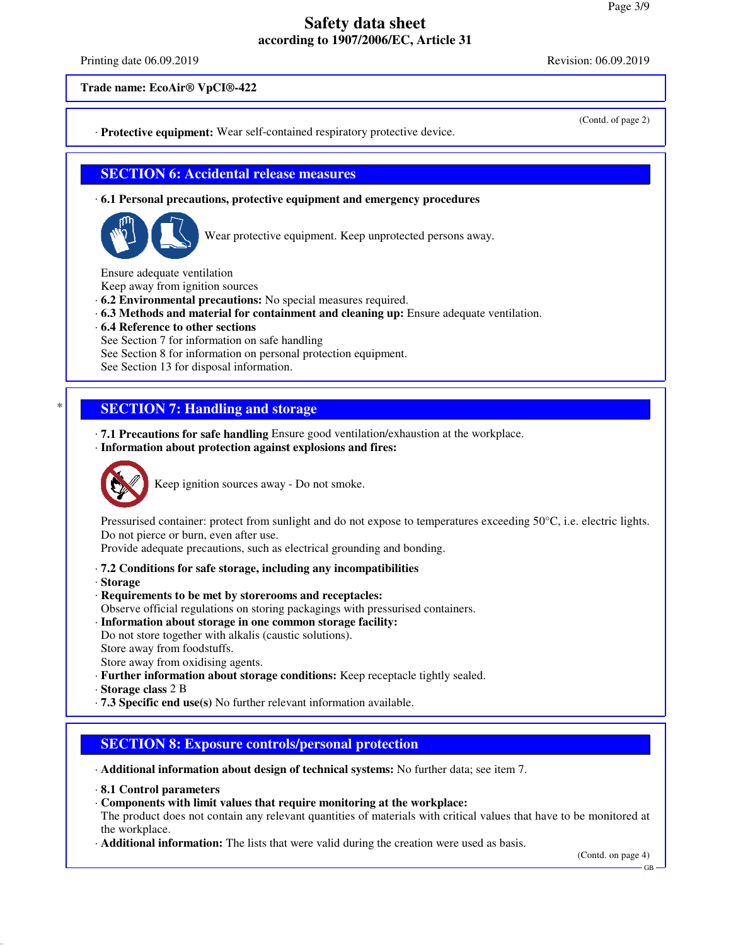Printing date 06.09.2019 Revision: 06.09.2019

(Contd. of page 2)

**Trade name: EcoAir® VpCI®-422**

· **Protective equipment:** Wear self-contained respiratory protective device.

#### **SECTION 6: Accidental release measures**

· **6.1 Personal precautions, protective equipment and emergency procedures**



Wear protective equipment. Keep unprotected persons away.

Ensure adequate ventilation

Keep away from ignition sources

- · **6.2 Environmental precautions:** No special measures required.
- · **6.3 Methods and material for containment and cleaning up:** Ensure adequate ventilation.
- · **6.4 Reference to other sections**

See Section 7 for information on safe handling

See Section 8 for information on personal protection equipment.

See Section 13 for disposal information.

## **SECTION 7: Handling and storage**

· **7.1 Precautions for safe handling** Ensure good ventilation/exhaustion at the workplace.

· **Information about protection against explosions and fires:**



Keep ignition sources away - Do not smoke.

Pressurised container: protect from sunlight and do not expose to temperatures exceeding 50°C, i.e. electric lights. Do not pierce or burn, even after use.

Provide adequate precautions, such as electrical grounding and bonding.

- · **7.2 Conditions for safe storage, including any incompatibilities**
- · **Storage**

· **Requirements to be met by storerooms and receptacles:** Observe official regulations on storing packagings with pressurised containers.

- · **Information about storage in one common storage facility:**
- Do not store together with alkalis (caustic solutions). Store away from foodstuffs.

Store away from oxidising agents.

· **Further information about storage conditions:** Keep receptacle tightly sealed.

· **Storage class** 2 B

· **7.3 Specific end use(s)** No further relevant information available.

## **SECTION 8: Exposure controls/personal protection**

· **Additional information about design of technical systems:** No further data; see item 7.

- · **8.1 Control parameters**
- · **Components with limit values that require monitoring at the workplace:**

The product does not contain any relevant quantities of materials with critical values that have to be monitored at the workplace.

· **Additional information:** The lists that were valid during the creation were used as basis.

(Contd. on page 4)

GB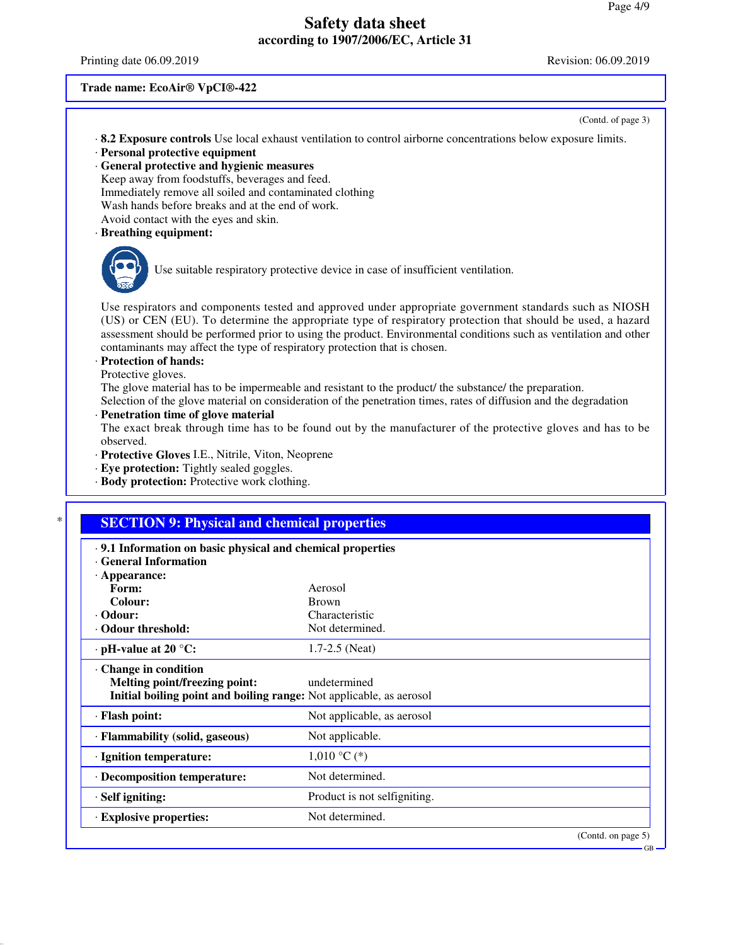Printing date 06.09.2019 Revision: 06.09.2019

#### **Trade name: EcoAir® VpCI®-422**

(Contd. of page 3)

GB

- · **8.2 Exposure controls** Use local exhaust ventilation to control airborne concentrations below exposure limits. · **Personal protective equipment**
- 
- · **General protective and hygienic measures** Keep away from foodstuffs, beverages and feed. Immediately remove all soiled and contaminated clothing Wash hands before breaks and at the end of work. Avoid contact with the eyes and skin.
- · **Breathing equipment:**



Use suitable respiratory protective device in case of insufficient ventilation.

Use respirators and components tested and approved under appropriate government standards such as NIOSH (US) or CEN (EU). To determine the appropriate type of respiratory protection that should be used, a hazard assessment should be performed prior to using the product. Environmental conditions such as ventilation and other contaminants may affect the type of respiratory protection that is chosen.

### · **Protection of hands:**

Protective gloves.

The glove material has to be impermeable and resistant to the product/ the substance/ the preparation. Selection of the glove material on consideration of the penetration times, rates of diffusion and the degradation

#### · **Penetration time of glove material**

The exact break through time has to be found out by the manufacturer of the protective gloves and has to be observed.

- · **Protective Gloves** I.E., Nitrile, Viton, Neoprene
- · **Eye protection:** Tightly sealed goggles.
- · **Body protection:** Protective work clothing.

| .9.1 Information on basic physical and chemical properties<br><b>General Information</b> |                              |  |
|------------------------------------------------------------------------------------------|------------------------------|--|
| $\cdot$ Appearance:                                                                      |                              |  |
| Form:                                                                                    | Aerosol                      |  |
| Colour:                                                                                  | <b>Brown</b>                 |  |
| · Odour:                                                                                 | Characteristic               |  |
| · Odour threshold:                                                                       | Not determined.              |  |
| $\cdot$ pH-value at 20 $\degree$ C:                                                      | $1.7 - 2.5$ (Neat)           |  |
| Change in condition                                                                      |                              |  |
| Melting point/freezing point:                                                            | undetermined                 |  |
| Initial boiling point and boiling range: Not applicable, as aerosol                      |                              |  |
| · Flash point:                                                                           | Not applicable, as aerosol   |  |
| · Flammability (solid, gaseous)                                                          | Not applicable.              |  |
| · Ignition temperature:                                                                  | $1,010$ °C (*)               |  |
| · Decomposition temperature:                                                             | Not determined.              |  |
| $\cdot$ Self igniting:                                                                   | Product is not selfigniting. |  |
| · Explosive properties:                                                                  | Not determined.              |  |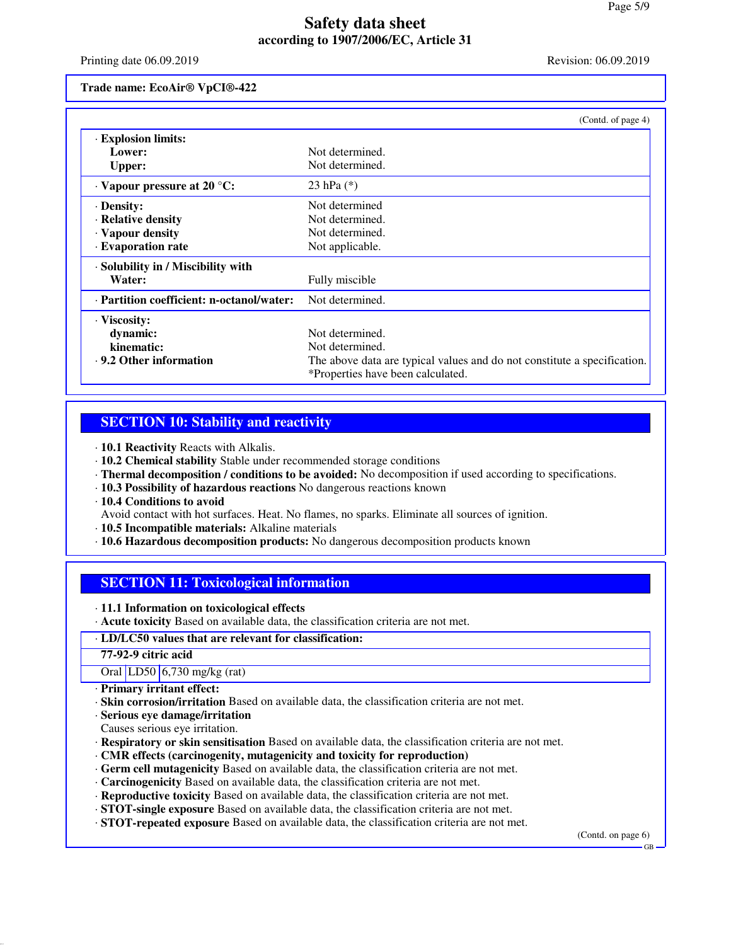Printing date 06.09.2019 Revision: 06.09.2019

**Trade name: EcoAir® VpCI®-422**

|                                           | (Contd. of page 4)                                                       |
|-------------------------------------------|--------------------------------------------------------------------------|
| · Explosion limits:                       |                                                                          |
| Lower:                                    | Not determined.                                                          |
| Upper:                                    | Not determined.                                                          |
| $\cdot$ Vapour pressure at 20 °C:         | 23 hPa $(*)$                                                             |
| · Density:                                | Not determined                                                           |
| · Relative density                        | Not determined.                                                          |
| · Vapour density                          | Not determined.                                                          |
| · Evaporation rate                        | Not applicable.                                                          |
| · Solubility in / Miscibility with        |                                                                          |
| Water:                                    | Fully miscible                                                           |
| · Partition coefficient: n-octanol/water: | Not determined.                                                          |
| $\cdot$ Viscosity:                        |                                                                          |
| dynamic:                                  | Not determined.                                                          |
| kinematic:                                | Not determined.                                                          |
| $\cdot$ 9.2 Other information             | The above data are typical values and do not constitute a specification. |
|                                           | *Properties have been calculated.                                        |

#### **SECTION 10: Stability and reactivity**

- · **10.1 Reactivity** Reacts with Alkalis.
- · **10.2 Chemical stability** Stable under recommended storage conditions
- · **Thermal decomposition / conditions to be avoided:** No decomposition if used according to specifications.
- · **10.3 Possibility of hazardous reactions** No dangerous reactions known
- · **10.4 Conditions to avoid**

Avoid contact with hot surfaces. Heat. No flames, no sparks. Eliminate all sources of ignition.

- · **10.5 Incompatible materials:** Alkaline materials
- · **10.6 Hazardous decomposition products:** No dangerous decomposition products known

## **SECTION 11: Toxicological information**

· **11.1 Information on toxicological effects**

· **Acute toxicity** Based on available data, the classification criteria are not met.

#### · **LD/LC50 values that are relevant for classification:**

**77-92-9 citric acid**

Oral LD50 6,730 mg/kg (rat)

- · **Primary irritant effect:**
- · **Skin corrosion/irritation** Based on available data, the classification criteria are not met.
- · **Serious eye damage/irritation**
- Causes serious eye irritation.
- · **Respiratory or skin sensitisation** Based on available data, the classification criteria are not met.
- · **CMR effects (carcinogenity, mutagenicity and toxicity for reproduction)**
- · **Germ cell mutagenicity** Based on available data, the classification criteria are not met.
- · **Carcinogenicity** Based on available data, the classification criteria are not met.
- · **Reproductive toxicity** Based on available data, the classification criteria are not met.
- · **STOT-single exposure** Based on available data, the classification criteria are not met.
- · **STOT-repeated exposure** Based on available data, the classification criteria are not met.

(Contd. on page 6)

GB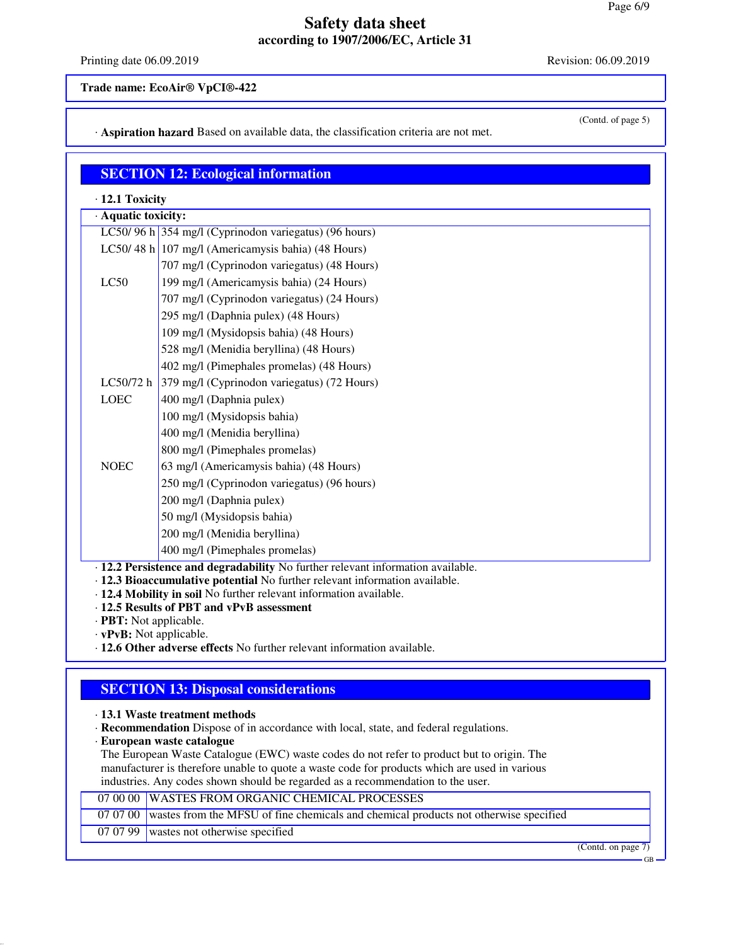Printing date 06.09.2019 Revision: 06.09.2019

(Contd. of page 5)

**Trade name: EcoAir® VpCI®-422**

· **Aspiration hazard** Based on available data, the classification criteria are not met.

### **SECTION 12: Ecological information**

· **12.1 Toxicity**

| · Aquatic toxicity: |                                                       |  |
|---------------------|-------------------------------------------------------|--|
|                     | LC50/96 h 354 mg/l (Cyprinodon variegatus) (96 hours) |  |
|                     | LC50/48 h 107 mg/l (Americamysis bahia) (48 Hours)    |  |
|                     | 707 mg/l (Cyprinodon variegatus) (48 Hours)           |  |
| LC50                | 199 mg/l (Americamysis bahia) (24 Hours)              |  |
|                     | 707 mg/l (Cyprinodon variegatus) (24 Hours)           |  |
|                     | 295 mg/l (Daphnia pulex) (48 Hours)                   |  |
|                     | 109 mg/l (Mysidopsis bahia) (48 Hours)                |  |
|                     | 528 mg/l (Menidia beryllina) (48 Hours)               |  |
|                     | 402 mg/l (Pimephales promelas) (48 Hours)             |  |
| LC50/72 h           | 379 mg/l (Cyprinodon variegatus) (72 Hours)           |  |
| <b>LOEC</b>         | 400 mg/l (Daphnia pulex)                              |  |
|                     | 100 mg/l (Mysidopsis bahia)                           |  |
|                     | 400 mg/l (Menidia beryllina)                          |  |
|                     | 800 mg/l (Pimephales promelas)                        |  |
| <b>NOEC</b>         | 63 mg/l (Americamysis bahia) (48 Hours)               |  |
|                     | 250 mg/l (Cyprinodon variegatus) (96 hours)           |  |
|                     | 200 mg/l (Daphnia pulex)                              |  |
|                     | 50 mg/l (Mysidopsis bahia)                            |  |
|                     | 200 mg/l (Menidia beryllina)                          |  |
|                     | 400 mg/l (Pimephales promelas)                        |  |
| 11 1 D.,            | ictores and decredebility No further relation info    |  |

· **12.2 Persistence and degradability** No further relevant information available.

· **12.3 Bioaccumulative potential** No further relevant information available.

· **12.4 Mobility in soil** No further relevant information available.

- · **12.5 Results of PBT and vPvB assessment**
- · **PBT:** Not applicable.

· **vPvB:** Not applicable.

· **12.6 Other adverse effects** No further relevant information available.

## **SECTION 13: Disposal considerations**

· **13.1 Waste treatment methods**

· **Recommendation** Dispose of in accordance with local, state, and federal regulations.

· **European waste catalogue**

The European Waste Catalogue (EWC) waste codes do not refer to product but to origin. The manufacturer is therefore unable to quote a waste code for products which are used in various industries. Any codes shown should be regarded as a recommendation to the user.

#### 07 00 00 WASTES FROM ORGANIC CHEMICAL PROCESSES

07 07 00 wastes from the MFSU of fine chemicals and chemical products not otherwise specified

07 07 99 wastes not otherwise specified

(Contd. on page 7)

GB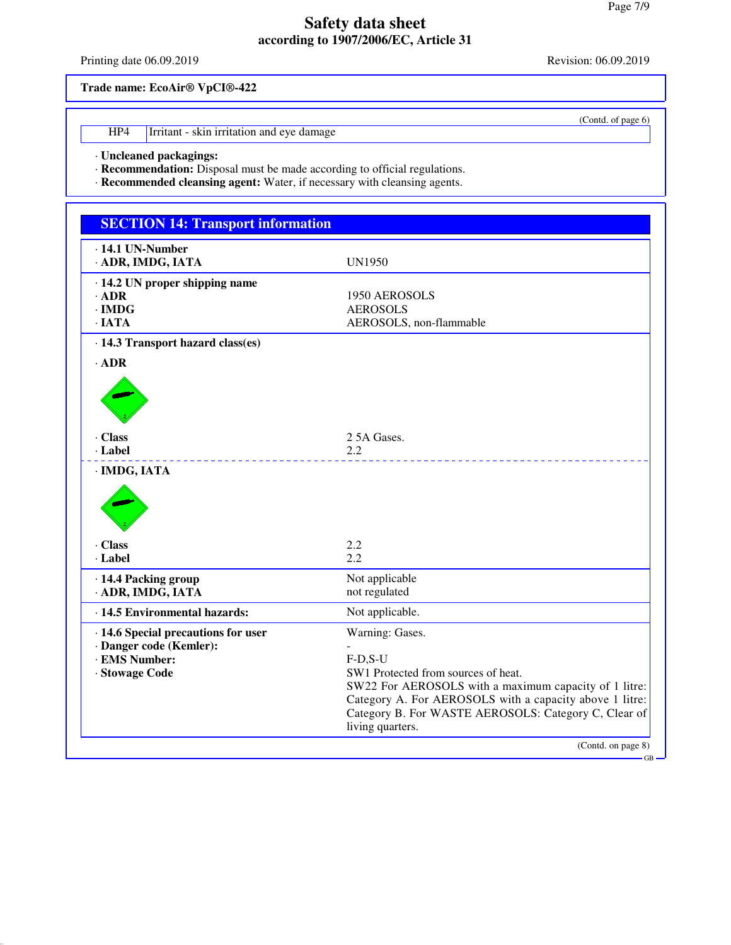Printing date 06.09.2019 Revision: 06.09.2019

(Contd. of page 6)

**Trade name: EcoAir® VpCI®-422**

HP4 Irritant - skin irritation and eye damage

· **Uncleaned packagings:**

· **Recommendation:** Disposal must be made according to official regulations.

· **Recommended cleansing agent:** Water, if necessary with cleansing agents.

| $\cdot$ 14.1 UN-Number<br>· ADR, IMDG, IATA                                                       | <b>UN1950</b>                                                                                                                                                                           |
|---------------------------------------------------------------------------------------------------|-----------------------------------------------------------------------------------------------------------------------------------------------------------------------------------------|
| $\cdot$ 14.2 UN proper shipping name<br>$\cdot$ ADR<br>$\cdot$ IMDG<br>$\cdot$ IATA               | 1950 AEROSOLS<br><b>AEROSOLS</b><br>AEROSOLS, non-flammable                                                                                                                             |
| · 14.3 Transport hazard class(es)<br>$·$ ADR                                                      |                                                                                                                                                                                         |
| · Class<br>· Label                                                                                | 2.5A Gases.<br>2.2                                                                                                                                                                      |
| · IMDG, IATA<br>· Class<br>· Label                                                                | 2.2<br>2.2                                                                                                                                                                              |
| · 14.4 Packing group<br>· ADR, IMDG, IATA                                                         | Not applicable<br>not regulated                                                                                                                                                         |
| · 14.5 Environmental hazards:                                                                     | Not applicable.                                                                                                                                                                         |
| · 14.6 Special precautions for user<br>· Danger code (Kemler):<br>· EMS Number:<br>· Stowage Code | Warning: Gases.<br>$F-D.S-U$<br>SW1 Protected from sources of heat.<br>SW22 For AEROSOLS with a maximum capacity of 1 litre:<br>Category A. For AEROSOLS with a capacity above 1 litre: |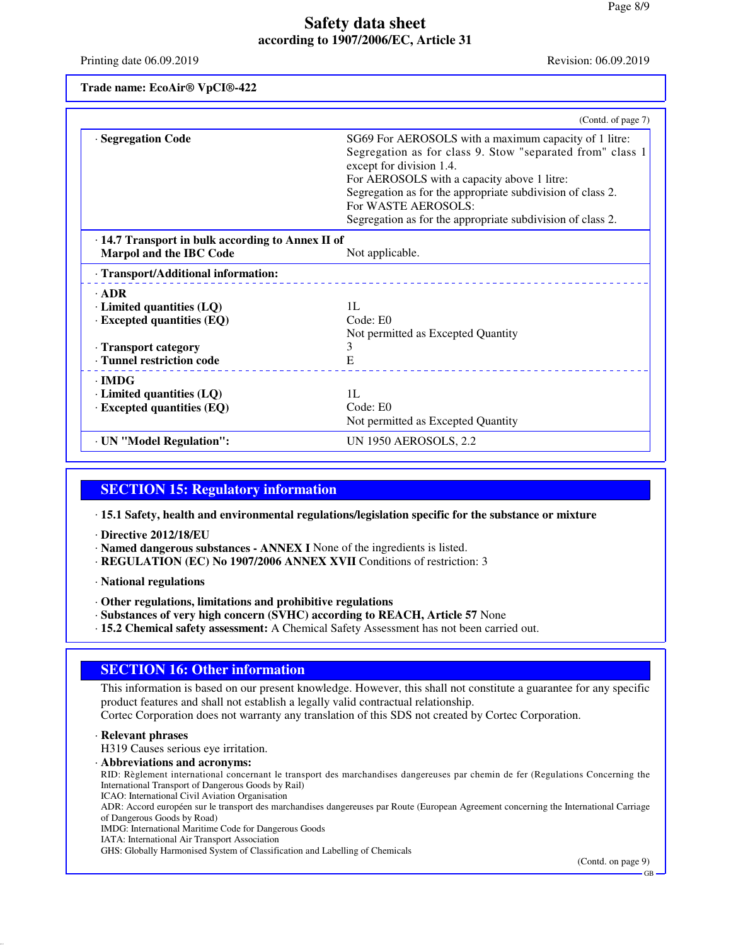Printing date 06.09.2019 Revision: 06.09.2019

**Trade name: EcoAir® VpCI®-422**

|                                                   | (Contd. of page 7)                                                                    |
|---------------------------------------------------|---------------------------------------------------------------------------------------|
| · Segregation Code                                | SG69 For AEROSOLS with a maximum capacity of 1 litre:                                 |
|                                                   | Segregation as for class 9. Stow "separated from" class 1<br>except for division 1.4. |
|                                                   | For AEROSOLS with a capacity above 1 litre:                                           |
|                                                   | Segregation as for the appropriate subdivision of class 2.                            |
|                                                   | For WASTE AEROSOLS:                                                                   |
|                                                   | Segregation as for the appropriate subdivision of class 2.                            |
| · 14.7 Transport in bulk according to Annex II of |                                                                                       |
| <b>Marpol and the IBC Code</b>                    | Not applicable.                                                                       |
| · Transport/Additional information:               |                                                                                       |
| $\cdot$ ADR                                       |                                                                                       |
| $\cdot$ Limited quantities (LQ)                   | 1L                                                                                    |
| $\cdot$ Excepted quantities (EQ)                  | Code: E0                                                                              |
|                                                   | Not permitted as Excepted Quantity                                                    |
| · Transport category                              | 3                                                                                     |
| · Tunnel restriction code                         | E                                                                                     |
| $\cdot$ IMDG                                      |                                                                                       |
| $\cdot$ Limited quantities (LQ)                   | 1L                                                                                    |
| $\cdot$ Excepted quantities (EQ)                  | Code: E0                                                                              |
|                                                   | Not permitted as Excepted Quantity                                                    |
| · UN "Model Regulation":                          | UN 1950 AEROSOLS, 2.2                                                                 |

## **SECTION 15: Regulatory information**

· **15.1 Safety, health and environmental regulations/legislation specific for the substance or mixture**

- · **Directive 2012/18/EU**
- · **Named dangerous substances ANNEX I** None of the ingredients is listed.
- · **REGULATION (EC) No 1907/2006 ANNEX XVII** Conditions of restriction: 3
- · **National regulations**
- · **Other regulations, limitations and prohibitive regulations**
- · **Substances of very high concern (SVHC) according to REACH, Article 57** None
- · **15.2 Chemical safety assessment:** A Chemical Safety Assessment has not been carried out.

## **SECTION 16: Other information**

This information is based on our present knowledge. However, this shall not constitute a guarantee for any specific product features and shall not establish a legally valid contractual relationship. Cortec Corporation does not warranty any translation of this SDS not created by Cortec Corporation.

#### · **Relevant phrases**

H319 Causes serious eye irritation.

· **Abbreviations and acronyms:**

RID: Règlement international concernant le transport des marchandises dangereuses par chemin de fer (Regulations Concerning the International Transport of Dangerous Goods by Rail)

ICAO: International Civil Aviation Organisation

ADR: Accord européen sur le transport des marchandises dangereuses par Route (European Agreement concerning the International Carriage of Dangerous Goods by Road)

IMDG: International Maritime Code for Dangerous Goods

IATA: International Air Transport Association

GHS: Globally Harmonised System of Classification and Labelling of Chemicals

(Contd. on page 9)

GB